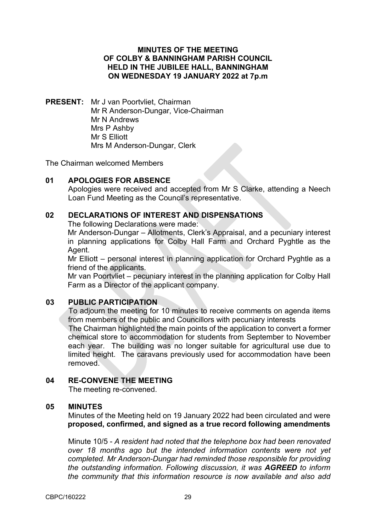### **MINUTES OF THE MEETING OF COLBY & BANNINGHAM PARISH COUNCIL HELD IN THE JUBILEE HALL, BANNINGHAM ON WEDNESDAY 19 JANUARY 2022 at 7p.m**

**PRESENT:** Mr J van Poortvliet, Chairman Mr R Anderson-Dungar, Vice-Chairman Mr N Andrews Mrs P Ashby Mr S Elliott Mrs M Anderson-Dungar, Clerk

The Chairman welcomed Members

### **01 APOLOGIES FOR ABSENCE**

Apologies were received and accepted from Mr S Clarke, attending a Neech Loan Fund Meeting as the Council's representative.

#### **02 DECLARATIONS OF INTEREST AND DISPENSATIONS**

The following Declarations were made:

Mr Anderson-Dungar – Allotments, Clerk's Appraisal, and a pecuniary interest in planning applications for Colby Hall Farm and Orchard Pyghtle as the Agent.

Mr Elliott – personal interest in planning application for Orchard Pyghtle as a friend of the applicants.

Mr van Poortvliet – pecuniary interest in the planning application for Colby Hall Farm as a Director of the applicant company.

### **03 PUBLIC PARTICIPATION**

To adjourn the meeting for 10 minutes to receive comments on agenda items from members of the public and Councillors with pecuniary interests The Chairman highlighted the main points of the application to convert a former chemical store to accommodation for students from September to November each year. The building was no longer suitable for agricultural use due to

limited height. The caravans previously used for accommodation have been removed.

# **04 RE-CONVENE THE MEETING**

The meeting re-convened.

### **05 MINUTES**

Minutes of the Meeting held on 19 January 2022 had been circulated and were **proposed, confirmed, and signed as a true record following amendments**

Minute 10/5 - *A resident had noted that the telephone box had been renovated over 18 months ago but the intended information contents were not yet completed. Mr Anderson-Dungar had reminded those responsible for providing the outstanding information. Following discussion, it was AGREED to inform the community that this information resource is now available and also add*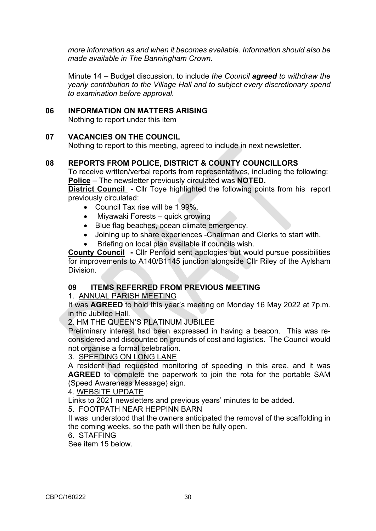*more information as and when it becomes available. Information should also be made available in The Banningham Crown*.

Minute 14 – Budget discussion, to include *the Council agreed to withdraw the yearly contribution to the Village Hall and to subject every discretionary spend to examination before approval.* 

#### **06 INFORMATION ON MATTERS ARISING**

Nothing to report under this item

#### **07 VACANCIES ON THE COUNCIL**

Nothing to report to this meeting, agreed to include in next newsletter.

### **08 REPORTS FROM POLICE, DISTRICT & COUNTY COUNCILLORS**

To receive written/verbal reports from representatives, including the following: **Police** – The newsletter previously circulated was **NOTED.**

**District Council** - Cllr Toye highlighted the following points from his report previously circulated:

- Council Tax rise will be 1.99%.
- Miyawaki Forests quick growing
- Blue flag beaches, ocean climate emergency.
- Joining up to share experiences -Chairman and Clerks to start with.
- Briefing on local plan available if councils wish.

**County Council -** Cllr Penfold sent apologies but would pursue possibilities for improvements to A140/B1145 junction alongside Cllr Riley of the Aylsham Division.

## **09 ITEMS REFERRED FROM PREVIOUS MEETING**

#### 1. ANNUAL PARISH MEETING

It was **AGREED** to hold this year's meeting on Monday 16 May 2022 at 7p.m. in the Jubilee Hall.

2. HM THE QUEEN'S PLATINUM JUBILEE

Preliminary interest had been expressed in having a beacon. This was reconsidered and discounted on grounds of cost and logistics. The Council would not organise a formal celebration.

#### 3. SPEEDING ON LONG LANE

A resident had requested monitoring of speeding in this area, and it was **AGREED** to complete the paperwork to join the rota for the portable SAM (Speed Awareness Message) sign.

4. WEBSITE UPDATE

Links to 2021 newsletters and previous years' minutes to be added.

5. FOOTPATH NEAR HEPPINN BARN

It was understood that the owners anticipated the removal of the scaffolding in the coming weeks, so the path will then be fully open.

#### 6. STAFFING

See item 15 below.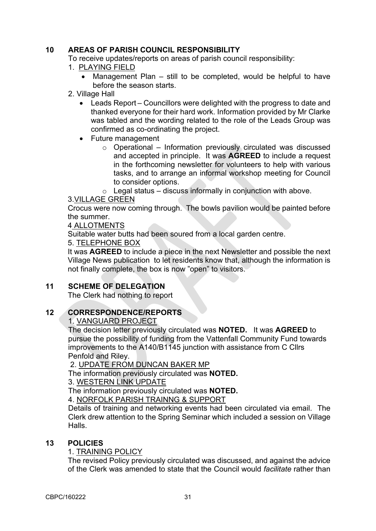# **10 AREAS OF PARISH COUNCIL RESPONSIBILITY**

To receive updates/reports on areas of parish council responsibility:

- 1. PLAYING FIELD
	- Management Plan still to be completed, would be helpful to have before the season starts.
- 2. Village Hall
	- Leads Report Councillors were delighted with the progress to date and thanked everyone for their hard work. Information provided by Mr Clarke was tabled and the wording related to the role of the Leads Group was confirmed as co-ordinating the project.
	- Future management
		- $\circ$  Operational Information previously circulated was discussed and accepted in principle. It was **AGREED** to include a request in the forthcoming newsletter for volunteers to help with various tasks, and to arrange an informal workshop meeting for Council to consider options.

 $\circ$  Legal status – discuss informally in conjunction with above.

### 3.VILLAGE GREEN

Crocus were now coming through. The bowls pavilion would be painted before the summer.

#### 4 ALLOTMENTS

Suitable water butts had been soured from a local garden centre.

# 5. TELEPHONE BOX

It was **AGREED** to include a piece in the next Newsletter and possible the next Village News publication to let residents know that, although the information is not finally complete, the box is now "open" to visitors.

# **11 SCHEME OF DELEGATION**

The Clerk had nothing to report

### **12 CORRESPONDENCE/REPORTS**

1. VANGUARD PROJECT

The decision letter previously circulated was **NOTED.** It was **AGREED** to pursue the possibility of funding from the Vattenfall Community Fund towards improvements to the A140/B1145 junction with assistance from C Cllrs Penfold and Riley.

2. UPDATE FROM DUNCAN BAKER MP

The information previously circulated was **NOTED.**

3. WESTERN LINK UPDATE

The information previously circulated was **NOTED.** 

4. NORFOLK PARISH TRAINNG & SUPPORT

Details of training and networking events had been circulated via email. The Clerk drew attention to the Spring Seminar which included a session on Village Halls.

### **13 POLICIES**

### 1. TRAINING POLICY

The revised Policy previously circulated was discussed, and against the advice of the Clerk was amended to state that the Council would *facilitate* rather than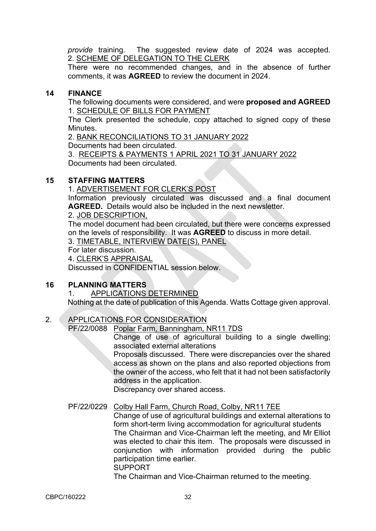*provide* training. The suggested review date of 2024 was accepted. 2. SCHEME OF DELEGATION TO THE CLERK

There were no recommended changes, and in the absence of further comments, it was **AGREED** to review the document in 2024.

## **14 FINANCE**

The following documents were considered, and were **proposed and AGREED** 1. SCHEDULE OF BILLS FOR PAYMENT

The Clerk presented the schedule, copy attached to signed copy of these Minutes.

2. BANK RECONCILIATIONS TO 31 JANUARY 2022

Documents had been circulated.

3. RECEIPTS & PAYMENTS 1 APRIL 2021 TO 31 JANUARY 2022 Documents had been circulated.

# **15 STAFFING MATTERS**

1. ADVERTISEMENT FOR CLERK'S POST

Information previously circulated was discussed and a final document **AGREED.** Details would also be included in the next newsletter.

### 2. JOB DESCRIPTION,

The model document had been circulated, but there were concerns expressed on the levels of responsibility. It was **AGREED** to discuss in more detail.

3. TIMETABLE, INTERVIEW DATE(S), PANEL

For later discussion.

4. CLERK'S APPRAISAL

Discussed in CONFIDENTIAL session below.

# **16 PLANNING MATTERS**

### 1. APPLICATIONS DETERMINED

Nothing at the date of publication of this Agenda. Watts Cottage given approval.

# 2. APPLICATIONS FOR CONSIDERATION

PF/22/0088 Poplar Farm, Banningham, NR11 7DS

Change of use of agricultural building to a single dwelling; associated external alterations

Proposals discussed. There were discrepancies over the shared access as shown on the plans and also reported objections from the owner of the access, who felt that it had not been satisfactorily address in the application.

Discrepancy over shared access.

### PF/22/0229 Colby Hall Farm, Church Road, Colby, NR11 7EE

Change of use of agricultural buildings and external alterations to form short-term living accommodation for agricultural students The Chairman and Vice-Chairman left the meeting, and Mr Elliot was elected to chair this item. The proposals were discussed in conjunction with information provided during the public participation time earlier. SUPPORT

The Chairman and Vice-Chairman returned to the meeting.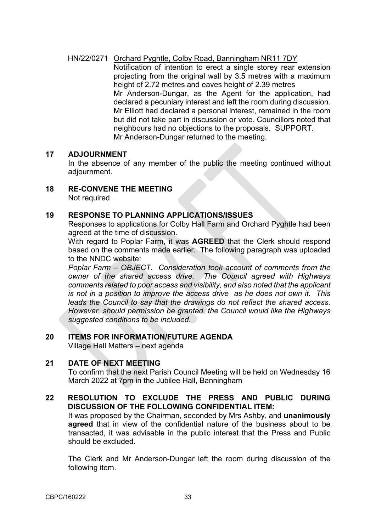## HN/22/0271 Orchard Pyghtle, Colby Road, Banningham NR11 7DY

Notification of intention to erect a single storey rear extension projecting from the original wall by 3.5 metres with a maximum height of 2.72 metres and eaves height of 2.39 metres Mr Anderson-Dungar, as the Agent for the application, had declared a pecuniary interest and left the room during discussion. Mr Elliott had declared a personal interest, remained in the room but did not take part in discussion or vote. Councillors noted that neighbours had no objections to the proposals. SUPPORT. Mr Anderson-Dungar returned to the meeting.

#### **17 ADJOURNMENT**

In the absence of any member of the public the meeting continued without adjournment.

**18 RE-CONVENE THE MEETING**

Not required.

#### **19 RESPONSE TO PLANNING APPLICATIONS/ISSUES**

Responses to applications for Colby Hall Farm and Orchard Pyghtle had been agreed at the time of discussion.

With regard to Poplar Farm, it was **AGREED** that the Clerk should respond based on the comments made earlier. The following paragraph was uploaded to the NNDC website:

*Poplar Farm – OBJECT. Consideration took account of comments from the owner of the shared access drive. The Council agreed with Highways comments related to poor access and visibility, and also noted that the applicant is not in a position to improve the access drive as he does not own it. This leads the Council to say that the drawings do not reflect the shared access. However, should permission be granted, the Council would like the Highways suggested conditions to be included*.

# **20 ITEMS FOR INFORMATION/FUTURE AGENDA**

Village Hall Matters – next agenda

### **21 DATE OF NEXT MEETING**

To confirm that the next Parish Council Meeting will be held on Wednesday 16 March 2022 at 7pm in the Jubilee Hall, Banningham

# **22 RESOLUTION TO EXCLUDE THE PRESS AND PUBLIC DURING DISCUSSION OF THE FOLLOWING CONFIDENTIAL ITEM:** It was proposed by the Chairman, seconded by Mrs Ashby, and **unanimously**

**agreed** that in view of the confidential nature of the business about to be transacted, it was advisable in the public interest that the Press and Public should be excluded.

The Clerk and Mr Anderson-Dungar left the room during discussion of the following item.